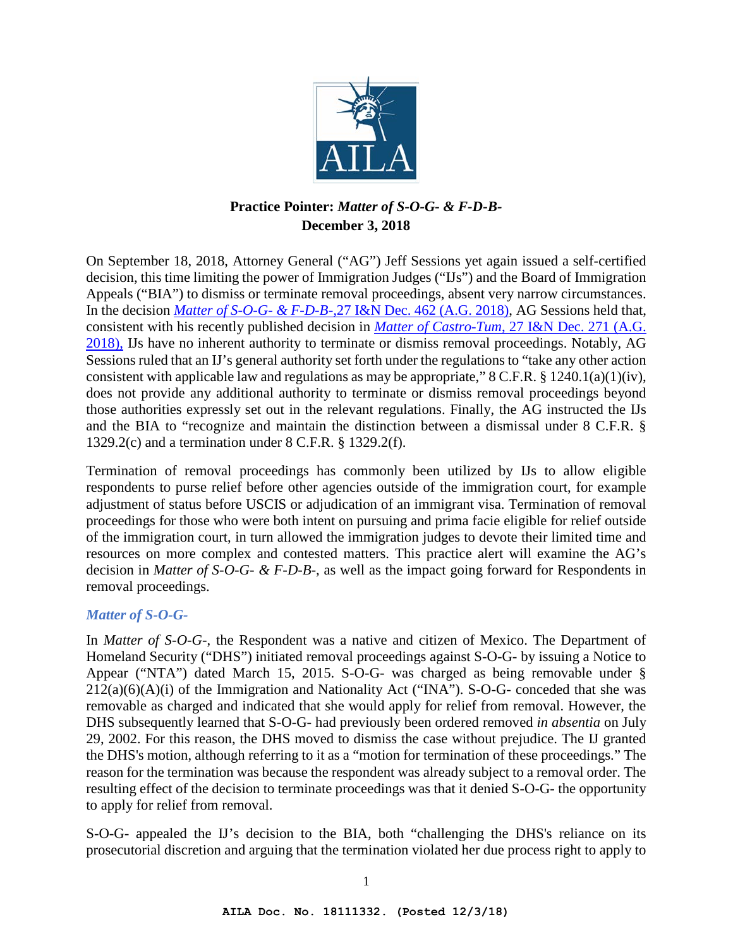

# **Practice Pointer:** *Matter of S-O-G- & F-D-B-*  **December 3, 2018**

On September 18, 2018, Attorney General ("AG") Jeff Sessions yet again issued a self-certified decision, this time limiting the power of Immigration Judges ("IJs") and the Board of Immigration Appeals ("BIA") to dismiss or terminate removal proceedings, absent very narrow circumstances. In the decision *Matter of S-O-G- & F-D-B-,*[27 I&N Dec. 462 \(A.G. 2018\),](https://www.aila.org/infonet/ag-matter-of-s-o-g-and-f-d-b-2018) AG Sessions held that, consistent with his recently published decision in *Matter of Castro-Tum*[, 27 I&N Dec. 271 \(A.G.](https://www.aila.org/infonet/matter-of-castro-tum-27-in-dec-271-ag-2018)  [2018\),](https://www.aila.org/infonet/matter-of-castro-tum-27-in-dec-271-ag-2018) IJs have no inherent authority to terminate or dismiss removal proceedings. Notably, AG Sessions ruled that an IJ's general authority set forth under the regulations to "take any other action consistent with applicable law and regulations as may be appropriate,"  $8$  C.F.R.  $§$  1240.1(a)(1)(iv), does not provide any additional authority to terminate or dismiss removal proceedings beyond those authorities expressly set out in the relevant regulations. Finally, the AG instructed the IJs and the BIA to "recognize and maintain the distinction between a dismissal under 8 C.F.R. § 1329.2(c) and a termination under 8 C.F.R. § 1329.2(f).

Termination of removal proceedings has commonly been utilized by IJs to allow eligible respondents to purse relief before other agencies outside of the immigration court, for example adjustment of status before USCIS or adjudication of an immigrant visa. Termination of removal proceedings for those who were both intent on pursuing and prima facie eligible for relief outside of the immigration court, in turn allowed the immigration judges to devote their limited time and resources on more complex and contested matters. This practice alert will examine the AG's decision in *Matter of S-O-G- & F-D-B-,* as well as the impact going forward for Respondents in removal proceedings.

#### *Matter of S-O-G-*

In *Matter of S-O-G-*, the Respondent was a native and citizen of Mexico. The Department of Homeland Security ("DHS") initiated removal proceedings against S-O-G- by issuing a Notice to Appear ("NTA") dated March 15, 2015. S-O-G- was charged as being removable under §  $212(a)(6)(A)(i)$  of the Immigration and Nationality Act ("INA"). S-O-G- conceded that she was removable as charged and indicated that she would apply for relief from removal. However, the DHS subsequently learned that S-O-G- had previously been ordered removed *in absentia* on July 29, 2002. For this reason, the DHS moved to dismiss the case without prejudice. The IJ granted the DHS's motion, although referring to it as a "motion for termination of these proceedings." The reason for the termination was because the respondent was already subject to a removal order. The resulting effect of the decision to terminate proceedings was that it denied S-O-G- the opportunity to apply for relief from removal.

S-O-G- appealed the IJ's decision to the BIA, both "challenging the DHS's reliance on its prosecutorial discretion and arguing that the termination violated her due process right to apply to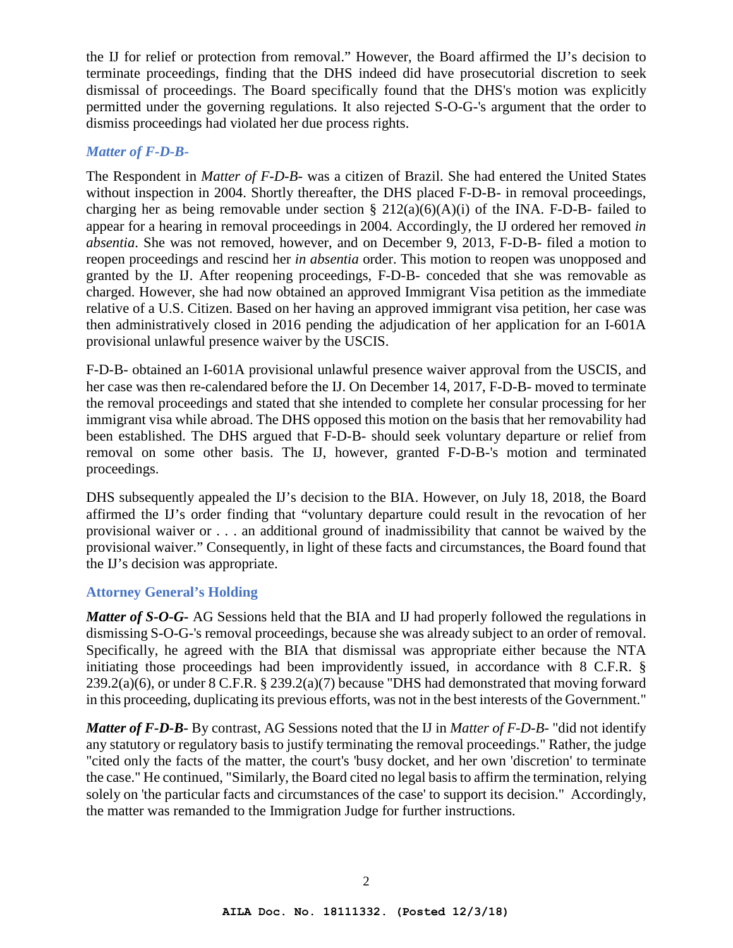the IJ for relief or protection from removal." However, the Board affirmed the IJ's decision to terminate proceedings, finding that the DHS indeed did have prosecutorial discretion to seek dismissal of proceedings. The Board specifically found that the DHS's motion was explicitly permitted under the governing regulations. It also rejected S-O-G-'s argument that the order to dismiss proceedings had violated her due process rights.

#### *Matter of F-D-B-*

The Respondent in *Matter of F-D-B-* was a citizen of Brazil. She had entered the United States without inspection in 2004. Shortly thereafter, the DHS placed F-D-B- in removal proceedings, charging her as being removable under section  $\S 212(a)(6)(A)(i)$  of the INA. F-D-B- failed to appear for a hearing in removal proceedings in 2004. Accordingly, the IJ ordered her removed *in absentia*. She was not removed, however, and on December 9, 2013, F-D-B- filed a motion to reopen proceedings and rescind her *in absentia* order. This motion to reopen was unopposed and granted by the IJ. After reopening proceedings, F-D-B- conceded that she was removable as charged. However, she had now obtained an approved Immigrant Visa petition as the immediate relative of a U.S. Citizen. Based on her having an approved immigrant visa petition, her case was then administratively closed in 2016 pending the adjudication of her application for an I-601A provisional unlawful presence waiver by the USCIS.

F-D-B- obtained an I-601A provisional unlawful presence waiver approval from the USCIS, and her case was then re-calendared before the IJ. On December 14, 2017, F-D-B- moved to terminate the removal proceedings and stated that she intended to complete her consular processing for her immigrant visa while abroad. The DHS opposed this motion on the basis that her removability had been established. The DHS argued that F-D-B- should seek voluntary departure or relief from removal on some other basis. The IJ, however, granted F-D-B-'s motion and terminated proceedings.

DHS subsequently appealed the IJ's decision to the BIA. However, on July 18, 2018, the Board affirmed the IJ's order finding that "voluntary departure could result in the revocation of her provisional waiver or . . . an additional ground of inadmissibility that cannot be waived by the provisional waiver." Consequently, in light of these facts and circumstances, the Board found that the IJ's decision was appropriate.

### **Attorney General's Holding**

*Matter of S-O-G-* AG Sessions held that the BIA and IJ had properly followed the regulations in dismissing S-O-G-'s removal proceedings, because she was already subject to an order of removal. Specifically, he agreed with the BIA that dismissal was appropriate either because the NTA initiating those proceedings had been improvidently issued, in accordance with 8 C.F.R. § 239.2(a)(6), or under 8 C.F.R. § 239.2(a)(7) because "DHS had demonstrated that moving forward in this proceeding, duplicating its previous efforts, was not in the best interests of the Government."

*Matter of F-D-B-* By contrast, AG Sessions noted that the IJ in *Matter of F-D-B-* "did not identify any statutory or regulatory basis to justify terminating the removal proceedings." Rather, the judge "cited only the facts of the matter, the court's 'busy docket, and her own 'discretion' to terminate the case." He continued, "Similarly, the Board cited no legal basis to affirm the termination, relying solely on 'the particular facts and circumstances of the case' to support its decision." Accordingly, the matter was remanded to the Immigration Judge for further instructions.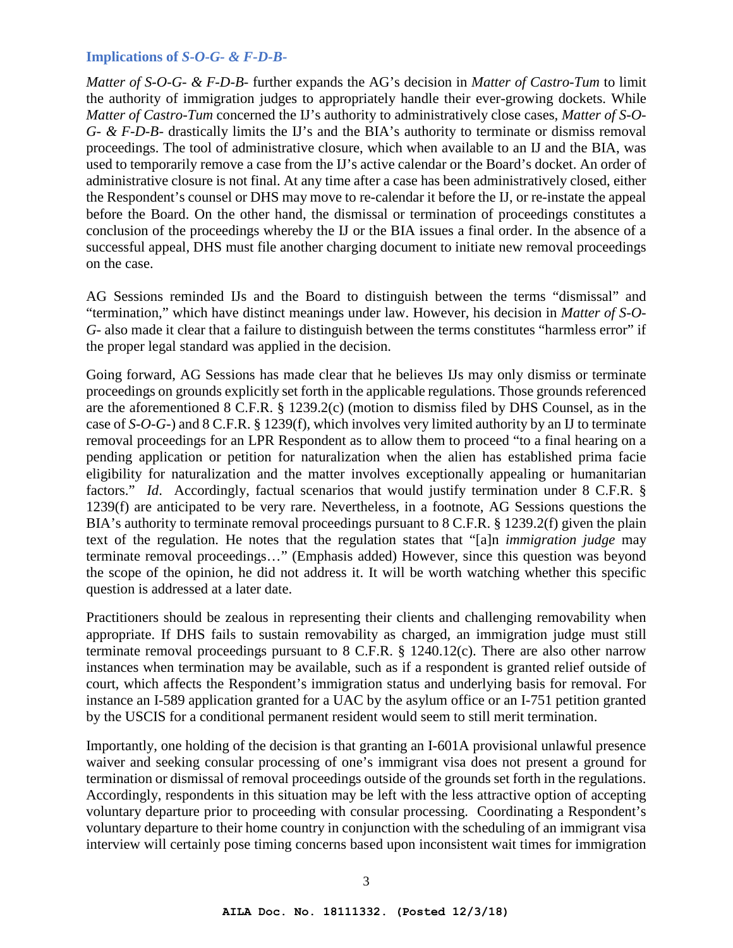#### **Implications of** *S-O-G- & F-D-B-*

*Matter of S-O-G- & F-D-B-* further expands the AG's decision in *Matter of Castro-Tum* to limit the authority of immigration judges to appropriately handle their ever-growing dockets. While *Matter of Castro-Tum* concerned the IJ's authority to administratively close cases, *Matter of S-O-G- & F-D-B-* drastically limits the IJ's and the BIA's authority to terminate or dismiss removal proceedings. The tool of administrative closure, which when available to an IJ and the BIA, was used to temporarily remove a case from the IJ's active calendar or the Board's docket. An order of administrative closure is not final. At any time after a case has been administratively closed, either the Respondent's counsel or DHS may move to re-calendar it before the IJ, or re-instate the appeal before the Board. On the other hand, the dismissal or termination of proceedings constitutes a conclusion of the proceedings whereby the IJ or the BIA issues a final order. In the absence of a successful appeal, DHS must file another charging document to initiate new removal proceedings on the case.

AG Sessions reminded IJs and the Board to distinguish between the terms "dismissal" and "termination," which have distinct meanings under law. However, his decision in *Matter of S-O-G-* also made it clear that a failure to distinguish between the terms constitutes "harmless error" if the proper legal standard was applied in the decision.

Going forward, AG Sessions has made clear that he believes IJs may only dismiss or terminate proceedings on grounds explicitly set forth in the applicable regulations. Those grounds referenced are the aforementioned 8 C.F.R. § 1239.2(c) (motion to dismiss filed by DHS Counsel, as in the case of *S-O-G-*) and 8 C.F.R. § 1239(f), which involves very limited authority by an IJ to terminate removal proceedings for an LPR Respondent as to allow them to proceed "to a final hearing on a pending application or petition for naturalization when the alien has established prima facie eligibility for naturalization and the matter involves exceptionally appealing or humanitarian factors." *Id.* Accordingly, factual scenarios that would justify termination under 8 C.F.R. § 1239(f) are anticipated to be very rare. Nevertheless, in a footnote, AG Sessions questions the BIA's authority to terminate removal proceedings pursuant to 8 C.F.R. § 1239.2(f) given the plain text of the regulation. He notes that the regulation states that "[a]n *immigration judge* may terminate removal proceedings…" (Emphasis added) However, since this question was beyond the scope of the opinion, he did not address it. It will be worth watching whether this specific question is addressed at a later date.

Practitioners should be zealous in representing their clients and challenging removability when appropriate. If DHS fails to sustain removability as charged, an immigration judge must still terminate removal proceedings pursuant to 8 C.F.R. § 1240.12(c). There are also other narrow instances when termination may be available, such as if a respondent is granted relief outside of court, which affects the Respondent's immigration status and underlying basis for removal. For instance an I-589 application granted for a UAC by the asylum office or an I-751 petition granted by the USCIS for a conditional permanent resident would seem to still merit termination.

Importantly, one holding of the decision is that granting an I-601A provisional unlawful presence waiver and seeking consular processing of one's immigrant visa does not present a ground for termination or dismissal of removal proceedings outside of the grounds set forth in the regulations. Accordingly, respondents in this situation may be left with the less attractive option of accepting voluntary departure prior to proceeding with consular processing. Coordinating a Respondent's voluntary departure to their home country in conjunction with the scheduling of an immigrant visa interview will certainly pose timing concerns based upon inconsistent wait times for immigration